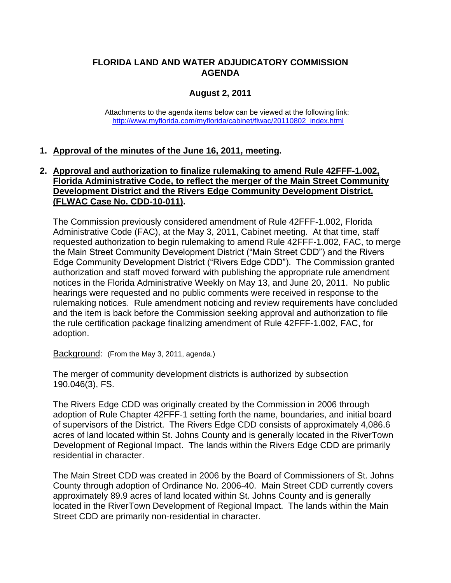### **FLORIDA LAND AND WATER ADJUDICATORY COMMISSION AGENDA**

# **August 2, 2011**

Attachments to the agenda items below can be viewed at the following link: [http://www.myflorida.com/myflorida/cabinet/flwac/20110802\\_index.html](http://www.myflorida.com/myflorida/cabinet/flwac/20110802_index.html)

## **1. Approval of the minutes of the June 16, 2011, meeting.**

#### **2. Approval and authorization to finalize rulemaking to amend Rule 42FFF-1.002, Florida Administrative Code, to reflect the merger of the Main Street Community Development District and the Rivers Edge Community Development District. (FLWAC Case No. CDD-10-011).**

The Commission previously considered amendment of Rule 42FFF-1.002, Florida Administrative Code (FAC), at the May 3, 2011, Cabinet meeting. At that time, staff requested authorization to begin rulemaking to amend Rule 42FFF-1.002, FAC, to merge the Main Street Community Development District ("Main Street CDD") and the Rivers Edge Community Development District ("Rivers Edge CDD"). The Commission granted authorization and staff moved forward with publishing the appropriate rule amendment notices in the Florida Administrative Weekly on May 13, and June 20, 2011. No public hearings were requested and no public comments were received in response to the rulemaking notices. Rule amendment noticing and review requirements have concluded and the item is back before the Commission seeking approval and authorization to file the rule certification package finalizing amendment of Rule 42FFF-1.002, FAC, for adoption.

Background: (From the May 3, 2011, agenda.)

The merger of community development districts is authorized by subsection 190.046(3), FS.

The Rivers Edge CDD was originally created by the Commission in 2006 through adoption of Rule Chapter 42FFF-1 setting forth the name, boundaries, and initial board of supervisors of the District. The Rivers Edge CDD consists of approximately 4,086.6 acres of land located within St. Johns County and is generally located in the RiverTown Development of Regional Impact. The lands within the Rivers Edge CDD are primarily residential in character.

The Main Street CDD was created in 2006 by the Board of Commissioners of St. Johns County through adoption of Ordinance No. 2006-40. Main Street CDD currently covers approximately 89.9 acres of land located within St. Johns County and is generally located in the RiverTown Development of Regional Impact. The lands within the Main Street CDD are primarily non-residential in character.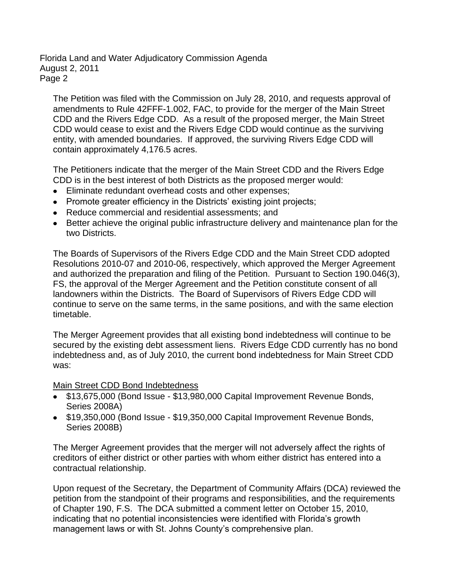The Petition was filed with the Commission on July 28, 2010, and requests approval of amendments to Rule 42FFF-1.002, FAC, to provide for the merger of the Main Street CDD and the Rivers Edge CDD. As a result of the proposed merger, the Main Street CDD would cease to exist and the Rivers Edge CDD would continue as the surviving entity, with amended boundaries. If approved, the surviving Rivers Edge CDD will contain approximately 4,176.5 acres.

The Petitioners indicate that the merger of the Main Street CDD and the Rivers Edge CDD is in the best interest of both Districts as the proposed merger would:

- Eliminate redundant overhead costs and other expenses;
- Promote greater efficiency in the Districts' existing joint projects;
- Reduce commercial and residential assessments; and
- Better achieve the original public infrastructure delivery and maintenance plan for the two Districts.

The Boards of Supervisors of the Rivers Edge CDD and the Main Street CDD adopted Resolutions 2010-07 and 2010-06, respectively, which approved the Merger Agreement and authorized the preparation and filing of the Petition. Pursuant to Section 190.046(3), FS, the approval of the Merger Agreement and the Petition constitute consent of all landowners within the Districts. The Board of Supervisors of Rivers Edge CDD will continue to serve on the same terms, in the same positions, and with the same election timetable.

The Merger Agreement provides that all existing bond indebtedness will continue to be secured by the existing debt assessment liens. Rivers Edge CDD currently has no bond indebtedness and, as of July 2010, the current bond indebtedness for Main Street CDD was:

Main Street CDD Bond Indebtedness

- \$13,675,000 (Bond Issue \$13,980,000 Capital Improvement Revenue Bonds, Series 2008A)
- \$19,350,000 (Bond Issue \$19,350,000 Capital Improvement Revenue Bonds, Series 2008B)

The Merger Agreement provides that the merger will not adversely affect the rights of creditors of either district or other parties with whom either district has entered into a contractual relationship.

Upon request of the Secretary, the Department of Community Affairs (DCA) reviewed the petition from the standpoint of their programs and responsibilities, and the requirements of Chapter 190, F.S. The DCA submitted a comment letter on October 15, 2010, indicating that no potential inconsistencies were identified with Florida"s growth management laws or with St. Johns County's comprehensive plan.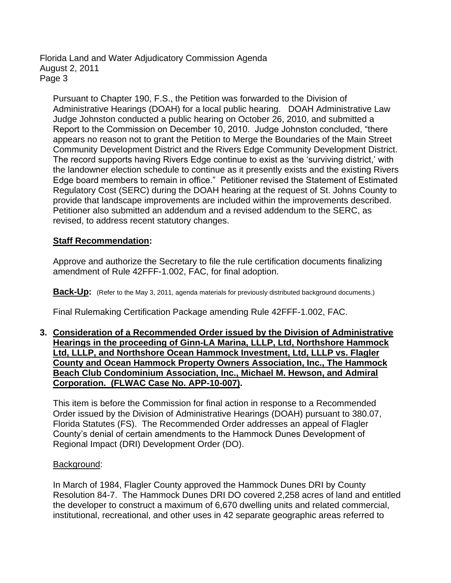Pursuant to Chapter 190, F.S., the Petition was forwarded to the Division of Administrative Hearings (DOAH) for a local public hearing. DOAH Administrative Law Judge Johnston conducted a public hearing on October 26, 2010, and submitted a Report to the Commission on December 10, 2010. Judge Johnston concluded, "there appears no reason not to grant the Petition to Merge the Boundaries of the Main Street Community Development District and the Rivers Edge Community Development District. The record supports having Rivers Edge continue to exist as the "surviving district," with the landowner election schedule to continue as it presently exists and the existing Rivers Edge board members to remain in office." Petitioner revised the Statement of Estimated Regulatory Cost (SERC) during the DOAH hearing at the request of St. Johns County to provide that landscape improvements are included within the improvements described. Petitioner also submitted an addendum and a revised addendum to the SERC, as revised, to address recent statutory changes.

#### **Staff Recommendation:**

Approve and authorize the Secretary to file the rule certification documents finalizing amendment of Rule 42FFF-1.002, FAC, for final adoption.

**Back-Up:** (Refer to the May 3, 2011, agenda materials for previously distributed background documents.)

Final Rulemaking Certification Package amending Rule 42FFF-1.002, FAC.

**3. Consideration of a Recommended Order issued by the Division of Administrative Hearings in the proceeding of Ginn-LA Marina, LLLP, Ltd, Northshore Hammock Ltd, LLLP, and Northshore Ocean Hammock Investment, Ltd, LLLP vs. Flagler County and Ocean Hammock Property Owners Association, Inc., The Hammock Beach Club Condominium Association, Inc., Michael M. Hewson, and Admiral Corporation. (FLWAC Case No. APP-10-007).**

This item is before the Commission for final action in response to a Recommended Order issued by the Division of Administrative Hearings (DOAH) pursuant to 380.07, Florida Statutes (FS). The Recommended Order addresses an appeal of Flagler County"s denial of certain amendments to the Hammock Dunes Development of Regional Impact (DRI) Development Order (DO).

#### Background:

In March of 1984, Flagler County approved the Hammock Dunes DRI by County Resolution 84-7. The Hammock Dunes DRI DO covered 2,258 acres of land and entitled the developer to construct a maximum of 6,670 dwelling units and related commercial, institutional, recreational, and other uses in 42 separate geographic areas referred to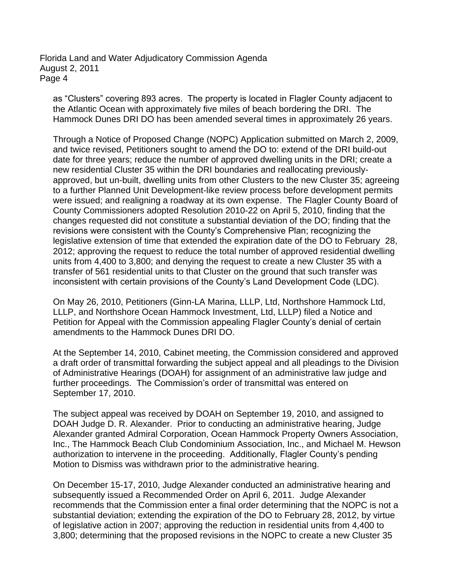as "Clusters" covering 893 acres. The property is located in Flagler County adjacent to the Atlantic Ocean with approximately five miles of beach bordering the DRI. The Hammock Dunes DRI DO has been amended several times in approximately 26 years.

Through a Notice of Proposed Change (NOPC) Application submitted on March 2, 2009, and twice revised, Petitioners sought to amend the DO to: extend of the DRI build-out date for three years; reduce the number of approved dwelling units in the DRI; create a new residential Cluster 35 within the DRI boundaries and reallocating previouslyapproved, but un-built, dwelling units from other Clusters to the new Cluster 35; agreeing to a further Planned Unit Development-like review process before development permits were issued; and realigning a roadway at its own expense. The Flagler County Board of County Commissioners adopted Resolution 2010-22 on April 5, 2010, finding that the changes requested did not constitute a substantial deviation of the DO; finding that the revisions were consistent with the County"s Comprehensive Plan; recognizing the legislative extension of time that extended the expiration date of the DO to February 28, 2012; approving the request to reduce the total number of approved residential dwelling units from 4,400 to 3,800; and denying the request to create a new Cluster 35 with a transfer of 561 residential units to that Cluster on the ground that such transfer was inconsistent with certain provisions of the County"s Land Development Code (LDC).

On May 26, 2010, Petitioners (Ginn-LA Marina, LLLP, Ltd, Northshore Hammock Ltd, LLLP, and Northshore Ocean Hammock Investment, Ltd, LLLP) filed a Notice and Petition for Appeal with the Commission appealing Flagler County"s denial of certain amendments to the Hammock Dunes DRI DO.

At the September 14, 2010, Cabinet meeting, the Commission considered and approved a draft order of transmittal forwarding the subject appeal and all pleadings to the Division of Administrative Hearings (DOAH) for assignment of an administrative law judge and further proceedings. The Commission's order of transmittal was entered on September 17, 2010.

The subject appeal was received by DOAH on September 19, 2010, and assigned to DOAH Judge D. R. Alexander. Prior to conducting an administrative hearing, Judge Alexander granted Admiral Corporation, Ocean Hammock Property Owners Association, Inc., The Hammock Beach Club Condominium Association, Inc., and Michael M. Hewson authorization to intervene in the proceeding. Additionally, Flagler County"s pending Motion to Dismiss was withdrawn prior to the administrative hearing.

On December 15-17, 2010, Judge Alexander conducted an administrative hearing and subsequently issued a Recommended Order on April 6, 2011. Judge Alexander recommends that the Commission enter a final order determining that the NOPC is not a substantial deviation; extending the expiration of the DO to February 28, 2012, by virtue of legislative action in 2007; approving the reduction in residential units from 4,400 to 3,800; determining that the proposed revisions in the NOPC to create a new Cluster 35